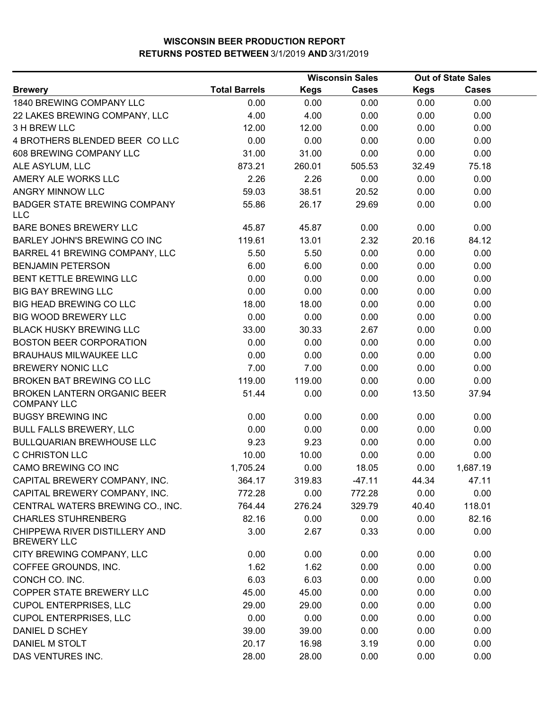|                                                     |                      | <b>Wisconsin Sales</b> |              | <b>Out of State Sales</b> |              |  |
|-----------------------------------------------------|----------------------|------------------------|--------------|---------------------------|--------------|--|
| <b>Brewery</b>                                      | <b>Total Barrels</b> | Kegs                   | <b>Cases</b> | <b>Kegs</b>               | <b>Cases</b> |  |
| 1840 BREWING COMPANY LLC                            | 0.00                 | 0.00                   | 0.00         | 0.00                      | 0.00         |  |
| 22 LAKES BREWING COMPANY, LLC                       | 4.00                 | 4.00                   | 0.00         | 0.00                      | 0.00         |  |
| 3 H BREW LLC                                        | 12.00                | 12.00                  | 0.00         | 0.00                      | 0.00         |  |
| 4 BROTHERS BLENDED BEER COLLC                       | 0.00                 | 0.00                   | 0.00         | 0.00                      | 0.00         |  |
| 608 BREWING COMPANY LLC                             | 31.00                | 31.00                  | 0.00         | 0.00                      | 0.00         |  |
| ALE ASYLUM, LLC                                     | 873.21               | 260.01                 | 505.53       | 32.49                     | 75.18        |  |
| AMERY ALE WORKS LLC                                 | 2.26                 | 2.26                   | 0.00         | 0.00                      | 0.00         |  |
| ANGRY MINNOW LLC                                    | 59.03                | 38.51                  | 20.52        | 0.00                      | 0.00         |  |
| <b>BADGER STATE BREWING COMPANY</b><br><b>LLC</b>   | 55.86                | 26.17                  | 29.69        | 0.00                      | 0.00         |  |
| <b>BARE BONES BREWERY LLC</b>                       | 45.87                | 45.87                  | 0.00         | 0.00                      | 0.00         |  |
| BARLEY JOHN'S BREWING CO INC                        | 119.61               | 13.01                  | 2.32         | 20.16                     | 84.12        |  |
| BARREL 41 BREWING COMPANY, LLC                      | 5.50                 | 5.50                   | 0.00         | 0.00                      | 0.00         |  |
| <b>BENJAMIN PETERSON</b>                            | 6.00                 | 6.00                   | 0.00         | 0.00                      | 0.00         |  |
| BENT KETTLE BREWING LLC                             | 0.00                 | 0.00                   | 0.00         | 0.00                      | 0.00         |  |
| <b>BIG BAY BREWING LLC</b>                          | 0.00                 | 0.00                   | 0.00         | 0.00                      | 0.00         |  |
| <b>BIG HEAD BREWING CO LLC</b>                      | 18.00                | 18.00                  | 0.00         | 0.00                      | 0.00         |  |
| <b>BIG WOOD BREWERY LLC</b>                         | 0.00                 | 0.00                   | 0.00         | 0.00                      | 0.00         |  |
| <b>BLACK HUSKY BREWING LLC</b>                      | 33.00                | 30.33                  | 2.67         | 0.00                      | 0.00         |  |
| <b>BOSTON BEER CORPORATION</b>                      | 0.00                 | 0.00                   | 0.00         | 0.00                      | 0.00         |  |
| <b>BRAUHAUS MILWAUKEE LLC</b>                       | 0.00                 | 0.00                   | 0.00         | 0.00                      | 0.00         |  |
| <b>BREWERY NONIC LLC</b>                            | 7.00                 | 7.00                   | 0.00         | 0.00                      | 0.00         |  |
| BROKEN BAT BREWING CO LLC                           | 119.00               | 119.00                 | 0.00         | 0.00                      | 0.00         |  |
| BROKEN LANTERN ORGANIC BEER<br><b>COMPANY LLC</b>   | 51.44                | 0.00                   | 0.00         | 13.50                     | 37.94        |  |
| <b>BUGSY BREWING INC</b>                            | 0.00                 | 0.00                   | 0.00         | 0.00                      | 0.00         |  |
| <b>BULL FALLS BREWERY, LLC</b>                      | 0.00                 | 0.00                   | 0.00         | 0.00                      | 0.00         |  |
| <b>BULLQUARIAN BREWHOUSE LLC</b>                    | 9.23                 | 9.23                   | 0.00         | 0.00                      | 0.00         |  |
| <b>C CHRISTON LLC</b>                               | 10.00                | 10.00                  | 0.00         | 0.00                      | 0.00         |  |
| CAMO BREWING CO INC                                 | 1,705.24             | 0.00                   | 18.05        | 0.00                      | 1,687.19     |  |
| CAPITAL BREWERY COMPANY, INC.                       | 364.17               | 319.83                 | $-47.11$     | 44.34                     | 47.11        |  |
| CAPITAL BREWERY COMPANY, INC.                       | 772.28               | 0.00                   | 772.28       | 0.00                      | 0.00         |  |
| CENTRAL WATERS BREWING CO., INC.                    | 764.44               | 276.24                 | 329.79       | 40.40                     | 118.01       |  |
| <b>CHARLES STUHRENBERG</b>                          | 82.16                | 0.00                   | 0.00         | 0.00                      | 82.16        |  |
| CHIPPEWA RIVER DISTILLERY AND<br><b>BREWERY LLC</b> | 3.00                 | 2.67                   | 0.33         | 0.00                      | 0.00         |  |
| CITY BREWING COMPANY, LLC                           | 0.00                 | 0.00                   | 0.00         | 0.00                      | 0.00         |  |
| COFFEE GROUNDS, INC.                                | 1.62                 | 1.62                   | 0.00         | 0.00                      | 0.00         |  |
| CONCH CO. INC.                                      | 6.03                 | 6.03                   | 0.00         | 0.00                      | 0.00         |  |
| COPPER STATE BREWERY LLC                            | 45.00                | 45.00                  | 0.00         | 0.00                      | 0.00         |  |
| <b>CUPOL ENTERPRISES, LLC</b>                       | 29.00                | 29.00                  | 0.00         | 0.00                      | 0.00         |  |
| <b>CUPOL ENTERPRISES, LLC</b>                       | 0.00                 | 0.00                   | 0.00         | 0.00                      | 0.00         |  |
| DANIEL D SCHEY                                      | 39.00                | 39.00                  | 0.00         | 0.00                      | 0.00         |  |
| DANIEL M STOLT                                      | 20.17                | 16.98                  | 3.19         | 0.00                      | 0.00         |  |
| DAS VENTURES INC.                                   | 28.00                | 28.00                  | 0.00         | 0.00                      | 0.00         |  |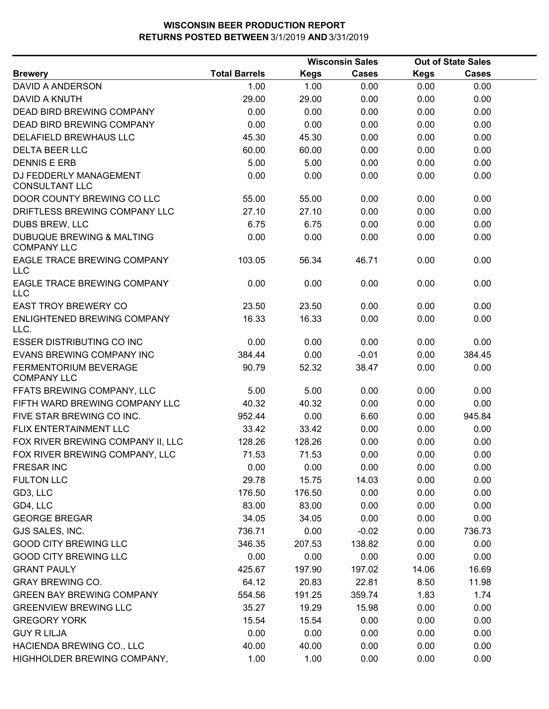|                                                    |                      |             | <b>Wisconsin Sales</b> |             | <b>Out of State Sales</b> |  |
|----------------------------------------------------|----------------------|-------------|------------------------|-------------|---------------------------|--|
| <b>Brewery</b>                                     | <b>Total Barrels</b> | <b>Kegs</b> | Cases                  | <b>Kegs</b> | Cases                     |  |
| DAVID A ANDERSON                                   | 1.00                 | 1.00        | 0.00                   | 0.00        | 0.00                      |  |
| DAVID A KNUTH                                      | 29.00                | 29.00       | 0.00                   | 0.00        | 0.00                      |  |
| <b>DEAD BIRD BREWING COMPANY</b>                   | 0.00                 | 0.00        | 0.00                   | 0.00        | 0.00                      |  |
| DEAD BIRD BREWING COMPANY                          | 0.00                 | 0.00        | 0.00                   | 0.00        | 0.00                      |  |
| DELAFIELD BREWHAUS LLC                             | 45.30                | 45.30       | 0.00                   | 0.00        | 0.00                      |  |
| <b>DELTA BEER LLC</b>                              | 60.00                | 60.00       | 0.00                   | 0.00        | 0.00                      |  |
| <b>DENNIS E ERB</b>                                | 5.00                 | 5.00        | 0.00                   | 0.00        | 0.00                      |  |
| DJ FEDDERLY MANAGEMENT<br><b>CONSULTANT LLC</b>    | 0.00                 | 0.00        | 0.00                   | 0.00        | 0.00                      |  |
| DOOR COUNTY BREWING CO LLC                         | 55.00                | 55.00       | 0.00                   | 0.00        | 0.00                      |  |
| DRIFTLESS BREWING COMPANY LLC                      | 27.10                | 27.10       | 0.00                   | 0.00        | 0.00                      |  |
| DUBS BREW, LLC                                     | 6.75                 | 6.75        | 0.00                   | 0.00        | 0.00                      |  |
| DUBUQUE BREWING & MALTING<br><b>COMPANY LLC</b>    | 0.00                 | 0.00        | 0.00                   | 0.00        | 0.00                      |  |
| EAGLE TRACE BREWING COMPANY<br><b>LLC</b>          | 103.05               | 56.34       | 46.71                  | 0.00        | 0.00                      |  |
| EAGLE TRACE BREWING COMPANY<br>LLC                 | 0.00                 | 0.00        | 0.00                   | 0.00        | 0.00                      |  |
| <b>EAST TROY BREWERY CO</b>                        | 23.50                | 23.50       | 0.00                   | 0.00        | 0.00                      |  |
| ENLIGHTENED BREWING COMPANY<br>LLC.                | 16.33                | 16.33       | 0.00                   | 0.00        | 0.00                      |  |
| <b>ESSER DISTRIBUTING CO INC</b>                   | 0.00                 | 0.00        | 0.00                   | 0.00        | 0.00                      |  |
| EVANS BREWING COMPANY INC                          | 384.44               | 0.00        | $-0.01$                | 0.00        | 384.45                    |  |
| <b>FERMENTORIUM BEVERAGE</b><br><b>COMPANY LLC</b> | 90.79                | 52.32       | 38.47                  | 0.00        | 0.00                      |  |
| FFATS BREWING COMPANY, LLC                         | 5.00                 | 5.00        | 0.00                   | 0.00        | 0.00                      |  |
| FIFTH WARD BREWING COMPANY LLC                     | 40.32                | 40.32       | 0.00                   | 0.00        | 0.00                      |  |
| FIVE STAR BREWING CO INC.                          | 952.44               | 0.00        | 6.60                   | 0.00        | 945.84                    |  |
| <b>FLIX ENTERTAINMENT LLC</b>                      | 33.42                | 33.42       | 0.00                   | 0.00        | 0.00                      |  |
| FOX RIVER BREWING COMPANY II, LLC                  | 128.26               | 128.26      | 0.00                   | 0.00        | 0.00                      |  |
| FOX RIVER BREWING COMPANY, LLC                     | 71.53                | 71.53       | 0.00                   | 0.00        | 0.00                      |  |
| <b>FRESAR INC</b>                                  | 0.00                 | 0.00        | 0.00                   | 0.00        | 0.00                      |  |
| <b>FULTON LLC</b>                                  | 29.78                | 15.75       | 14.03                  | 0.00        | 0.00                      |  |
| GD3, LLC                                           | 176.50               | 176.50      | 0.00                   | 0.00        | 0.00                      |  |
| GD4, LLC                                           | 83.00                | 83.00       | 0.00                   | 0.00        | 0.00                      |  |
| <b>GEORGE BREGAR</b>                               | 34.05                | 34.05       | 0.00                   | 0.00        | 0.00                      |  |
| GJS SALES, INC.                                    | 736.71               | 0.00        | $-0.02$                | 0.00        | 736.73                    |  |
| <b>GOOD CITY BREWING LLC</b>                       | 346.35               | 207.53      | 138.82                 | 0.00        | 0.00                      |  |
| <b>GOOD CITY BREWING LLC</b>                       | 0.00                 | 0.00        | 0.00                   | 0.00        | 0.00                      |  |
| <b>GRANT PAULY</b>                                 | 425.67               | 197.90      | 197.02                 | 14.06       | 16.69                     |  |
| <b>GRAY BREWING CO.</b>                            | 64.12                | 20.83       | 22.81                  | 8.50        | 11.98                     |  |
| <b>GREEN BAY BREWING COMPANY</b>                   | 554.56               | 191.25      | 359.74                 | 1.83        | 1.74                      |  |
| <b>GREENVIEW BREWING LLC</b>                       | 35.27                | 19.29       | 15.98                  | 0.00        | 0.00                      |  |
| <b>GREGORY YORK</b>                                | 15.54                | 15.54       | 0.00                   | 0.00        | 0.00                      |  |
| <b>GUY R LILJA</b>                                 | 0.00                 | 0.00        | 0.00                   | 0.00        | 0.00                      |  |
| HACIENDA BREWING CO., LLC                          | 40.00                | 40.00       | 0.00                   | 0.00        | 0.00                      |  |
| HIGHHOLDER BREWING COMPANY,                        | 1.00                 | 1.00        | 0.00                   | 0.00        | 0.00                      |  |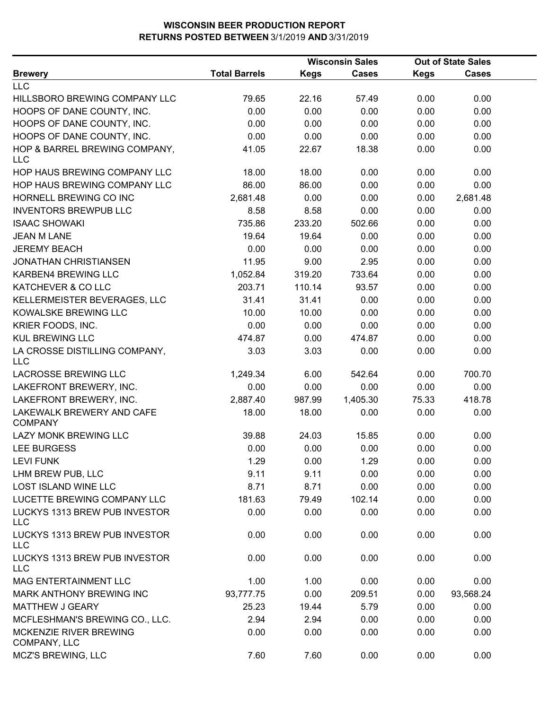|                                             |                      |             | <b>Wisconsin Sales</b> | <b>Out of State Sales</b> |              |  |
|---------------------------------------------|----------------------|-------------|------------------------|---------------------------|--------------|--|
| <b>Brewery</b>                              | <b>Total Barrels</b> | <b>Kegs</b> | <b>Cases</b>           | <b>Kegs</b>               | <b>Cases</b> |  |
| <b>LLC</b>                                  |                      |             |                        |                           |              |  |
| HILLSBORO BREWING COMPANY LLC               | 79.65                | 22.16       | 57.49                  | 0.00                      | 0.00         |  |
| HOOPS OF DANE COUNTY, INC.                  | 0.00                 | 0.00        | 0.00                   | 0.00                      | 0.00         |  |
| HOOPS OF DANE COUNTY, INC.                  | 0.00                 | 0.00        | 0.00                   | 0.00                      | 0.00         |  |
| HOOPS OF DANE COUNTY, INC.                  | 0.00                 | 0.00        | 0.00                   | 0.00                      | 0.00         |  |
| HOP & BARREL BREWING COMPANY,<br><b>LLC</b> | 41.05                | 22.67       | 18.38                  | 0.00                      | 0.00         |  |
| HOP HAUS BREWING COMPANY LLC                | 18.00                | 18.00       | 0.00                   | 0.00                      | 0.00         |  |
| HOP HAUS BREWING COMPANY LLC                | 86.00                | 86.00       | 0.00                   | 0.00                      | 0.00         |  |
| HORNELL BREWING CO INC                      | 2,681.48             | 0.00        | 0.00                   | 0.00                      | 2,681.48     |  |
| <b>INVENTORS BREWPUB LLC</b>                | 8.58                 | 8.58        | 0.00                   | 0.00                      | 0.00         |  |
| <b>ISAAC SHOWAKI</b>                        | 735.86               | 233.20      | 502.66                 | 0.00                      | 0.00         |  |
| <b>JEAN M LANE</b>                          | 19.64                | 19.64       | 0.00                   | 0.00                      | 0.00         |  |
| <b>JEREMY BEACH</b>                         | 0.00                 | 0.00        | 0.00                   | 0.00                      | 0.00         |  |
| <b>JONATHAN CHRISTIANSEN</b>                | 11.95                | 9.00        | 2.95                   | 0.00                      | 0.00         |  |
| KARBEN4 BREWING LLC                         | 1,052.84             | 319.20      | 733.64                 | 0.00                      | 0.00         |  |
| KATCHEVER & CO LLC                          | 203.71               | 110.14      | 93.57                  | 0.00                      | 0.00         |  |
| KELLERMEISTER BEVERAGES, LLC                | 31.41                | 31.41       | 0.00                   | 0.00                      | 0.00         |  |
| KOWALSKE BREWING LLC                        | 10.00                | 10.00       | 0.00                   | 0.00                      | 0.00         |  |
| KRIER FOODS, INC.                           | 0.00                 | 0.00        | 0.00                   | 0.00                      | 0.00         |  |
| <b>KUL BREWING LLC</b>                      | 474.87               | 0.00        | 474.87                 | 0.00                      | 0.00         |  |
| LA CROSSE DISTILLING COMPANY,<br>LLC        | 3.03                 | 3.03        | 0.00                   | 0.00                      | 0.00         |  |
| LACROSSE BREWING LLC                        | 1,249.34             | 6.00        | 542.64                 | 0.00                      | 700.70       |  |
| LAKEFRONT BREWERY, INC.                     | 0.00                 | 0.00        | 0.00                   | 0.00                      | 0.00         |  |
| LAKEFRONT BREWERY, INC.                     | 2,887.40             | 987.99      | 1,405.30               | 75.33                     | 418.78       |  |
| LAKEWALK BREWERY AND CAFE<br><b>COMPANY</b> | 18.00                | 18.00       | 0.00                   | 0.00                      | 0.00         |  |
| LAZY MONK BREWING LLC                       | 39.88                | 24.03       | 15.85                  | 0.00                      | 0.00         |  |
| <b>LEE BURGESS</b>                          | 0.00                 | 0.00        | 0.00                   | 0.00                      | 0.00         |  |
| <b>LEVI FUNK</b>                            | 1.29                 | 0.00        | 1.29                   | 0.00                      | 0.00         |  |
| LHM BREW PUB, LLC                           | 9.11                 | 9.11        | 0.00                   | 0.00                      | 0.00         |  |
| <b>LOST ISLAND WINE LLC</b>                 | 8.71                 | 8.71        | 0.00                   | 0.00                      | 0.00         |  |
| LUCETTE BREWING COMPANY LLC                 | 181.63               | 79.49       | 102.14                 | 0.00                      | 0.00         |  |
| LUCKYS 1313 BREW PUB INVESTOR<br>LLC        | 0.00                 | 0.00        | 0.00                   | 0.00                      | 0.00         |  |
| LUCKYS 1313 BREW PUB INVESTOR<br><b>LLC</b> | 0.00                 | 0.00        | 0.00                   | 0.00                      | 0.00         |  |
| LUCKYS 1313 BREW PUB INVESTOR<br>LLC        | 0.00                 | 0.00        | 0.00                   | 0.00                      | 0.00         |  |
| MAG ENTERTAINMENT LLC                       | 1.00                 | 1.00        | 0.00                   | 0.00                      | 0.00         |  |
| MARK ANTHONY BREWING INC                    | 93,777.75            | 0.00        | 209.51                 | 0.00                      | 93,568.24    |  |
| MATTHEW J GEARY                             | 25.23                | 19.44       | 5.79                   | 0.00                      | 0.00         |  |
| MCFLESHMAN'S BREWING CO., LLC.              | 2.94                 | 2.94        | 0.00                   | 0.00                      | 0.00         |  |
| MCKENZIE RIVER BREWING<br>COMPANY, LLC      | 0.00                 | 0.00        | 0.00                   | 0.00                      | 0.00         |  |
| MCZ'S BREWING, LLC                          | 7.60                 | 7.60        | 0.00                   | 0.00                      | 0.00         |  |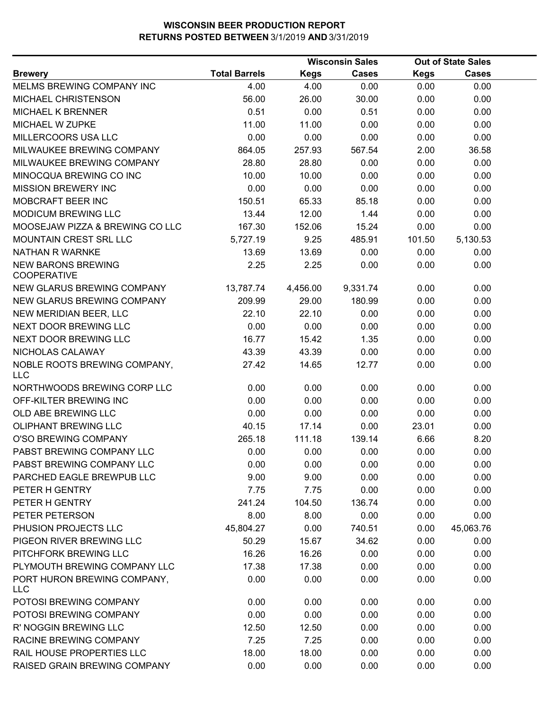|                                                 |                      |             | <b>Wisconsin Sales</b> |             | <b>Out of State Sales</b> |  |
|-------------------------------------------------|----------------------|-------------|------------------------|-------------|---------------------------|--|
| <b>Brewery</b>                                  | <b>Total Barrels</b> | <b>Kegs</b> | Cases                  | <b>Kegs</b> | Cases                     |  |
| MELMS BREWING COMPANY INC                       | 4.00                 | 4.00        | 0.00                   | 0.00        | 0.00                      |  |
| MICHAEL CHRISTENSON                             | 56.00                | 26.00       | 30.00                  | 0.00        | 0.00                      |  |
| MICHAEL K BRENNER                               | 0.51                 | 0.00        | 0.51                   | 0.00        | 0.00                      |  |
| MICHAEL W ZUPKE                                 | 11.00                | 11.00       | 0.00                   | 0.00        | 0.00                      |  |
| MILLERCOORS USA LLC                             | 0.00                 | 0.00        | 0.00                   | 0.00        | 0.00                      |  |
| MILWAUKEE BREWING COMPANY                       | 864.05               | 257.93      | 567.54                 | 2.00        | 36.58                     |  |
| MILWAUKEE BREWING COMPANY                       | 28.80                | 28.80       | 0.00                   | 0.00        | 0.00                      |  |
| MINOCQUA BREWING CO INC                         | 10.00                | 10.00       | 0.00                   | 0.00        | 0.00                      |  |
| <b>MISSION BREWERY INC</b>                      | 0.00                 | 0.00        | 0.00                   | 0.00        | 0.00                      |  |
| MOBCRAFT BEER INC                               | 150.51               | 65.33       | 85.18                  | 0.00        | 0.00                      |  |
| <b>MODICUM BREWING LLC</b>                      | 13.44                | 12.00       | 1.44                   | 0.00        | 0.00                      |  |
| MOOSEJAW PIZZA & BREWING CO LLC                 | 167.30               | 152.06      | 15.24                  | 0.00        | 0.00                      |  |
| MOUNTAIN CREST SRL LLC                          | 5,727.19             | 9.25        | 485.91                 | 101.50      | 5,130.53                  |  |
| NATHAN R WARNKE                                 | 13.69                | 13.69       | 0.00                   | 0.00        | 0.00                      |  |
| <b>NEW BARONS BREWING</b><br><b>COOPERATIVE</b> | 2.25                 | 2.25        | 0.00                   | 0.00        | 0.00                      |  |
| NEW GLARUS BREWING COMPANY                      | 13,787.74            | 4,456.00    | 9,331.74               | 0.00        | 0.00                      |  |
| NEW GLARUS BREWING COMPANY                      | 209.99               | 29.00       | 180.99                 | 0.00        | 0.00                      |  |
| NEW MERIDIAN BEER, LLC                          | 22.10                | 22.10       | 0.00                   | 0.00        | 0.00                      |  |
| NEXT DOOR BREWING LLC                           | 0.00                 | 0.00        | 0.00                   | 0.00        | 0.00                      |  |
| NEXT DOOR BREWING LLC                           | 16.77                | 15.42       | 1.35                   | 0.00        | 0.00                      |  |
| NICHOLAS CALAWAY                                | 43.39                | 43.39       | 0.00                   | 0.00        | 0.00                      |  |
| NOBLE ROOTS BREWING COMPANY,<br><b>LLC</b>      | 27.42                | 14.65       | 12.77                  | 0.00        | 0.00                      |  |
| NORTHWOODS BREWING CORP LLC                     | 0.00                 | 0.00        | 0.00                   | 0.00        | 0.00                      |  |
| OFF-KILTER BREWING INC                          | 0.00                 | 0.00        | 0.00                   | 0.00        | 0.00                      |  |
| OLD ABE BREWING LLC                             | 0.00                 | 0.00        | 0.00                   | 0.00        | 0.00                      |  |
| <b>OLIPHANT BREWING LLC</b>                     | 40.15                | 17.14       | 0.00                   | 23.01       | 0.00                      |  |
| <b>O'SO BREWING COMPANY</b>                     | 265.18               | 111.18      | 139.14                 | 6.66        | 8.20                      |  |
| PABST BREWING COMPANY LLC                       | 0.00                 | 0.00        | 0.00                   | 0.00        | 0.00                      |  |
| PABST BREWING COMPANY LLC                       | 0.00                 | 0.00        | 0.00                   | 0.00        | 0.00                      |  |
| PARCHED EAGLE BREWPUB LLC                       | 9.00                 | 9.00        | 0.00                   | 0.00        | 0.00                      |  |
| PETER H GENTRY                                  | 7.75                 | 7.75        | 0.00                   | 0.00        | 0.00                      |  |
| PETER H GENTRY                                  | 241.24               | 104.50      | 136.74                 | 0.00        | 0.00                      |  |
| PETER PETERSON                                  | 8.00                 | 8.00        | 0.00                   | 0.00        | 0.00                      |  |
| PHUSION PROJECTS LLC                            | 45,804.27            | 0.00        | 740.51                 | 0.00        | 45,063.76                 |  |
| PIGEON RIVER BREWING LLC                        | 50.29                | 15.67       | 34.62                  | 0.00        | 0.00                      |  |
| PITCHFORK BREWING LLC                           | 16.26                | 16.26       | 0.00                   | 0.00        | 0.00                      |  |
| PLYMOUTH BREWING COMPANY LLC                    | 17.38                | 17.38       | 0.00                   | 0.00        | 0.00                      |  |
| PORT HURON BREWING COMPANY,<br><b>LLC</b>       | 0.00                 | 0.00        | 0.00                   | 0.00        | 0.00                      |  |
| POTOSI BREWING COMPANY                          | 0.00                 | 0.00        | 0.00                   | 0.00        | 0.00                      |  |
| POTOSI BREWING COMPANY                          | 0.00                 | 0.00        | 0.00                   | 0.00        | 0.00                      |  |
| R' NOGGIN BREWING LLC                           | 12.50                | 12.50       | 0.00                   | 0.00        | 0.00                      |  |
| RACINE BREWING COMPANY                          | 7.25                 | 7.25        | 0.00                   | 0.00        | 0.00                      |  |
| RAIL HOUSE PROPERTIES LLC                       | 18.00                | 18.00       | 0.00                   | 0.00        | 0.00                      |  |
| RAISED GRAIN BREWING COMPANY                    | 0.00                 | 0.00        | 0.00                   | 0.00        | 0.00                      |  |
|                                                 |                      |             |                        |             |                           |  |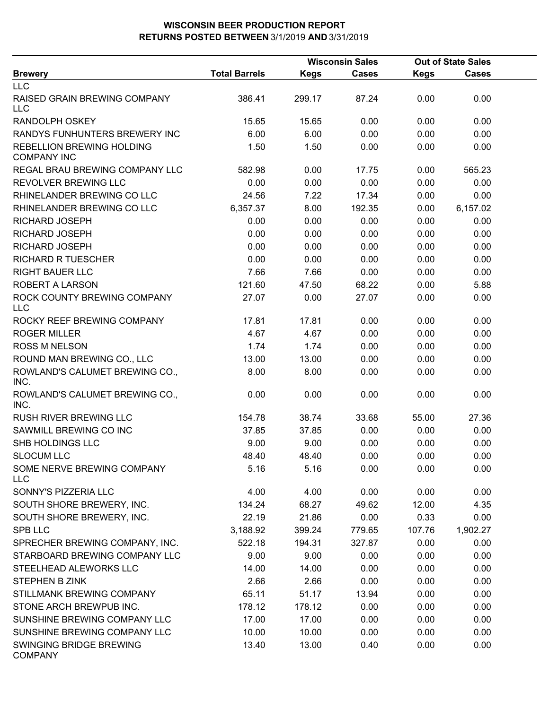|                                                 |                      | <b>Wisconsin Sales</b> |              | <b>Out of State Sales</b> |              |  |
|-------------------------------------------------|----------------------|------------------------|--------------|---------------------------|--------------|--|
| <b>Brewery</b>                                  | <b>Total Barrels</b> | <b>Kegs</b>            | <b>Cases</b> | <b>Kegs</b>               | <b>Cases</b> |  |
| <b>LLC</b>                                      |                      |                        |              |                           |              |  |
| RAISED GRAIN BREWING COMPANY<br>LLC             | 386.41               | 299.17                 | 87.24        | 0.00                      | 0.00         |  |
| <b>RANDOLPH OSKEY</b>                           | 15.65                | 15.65                  | 0.00         | 0.00                      | 0.00         |  |
| RANDYS FUNHUNTERS BREWERY INC                   | 6.00                 | 6.00                   | 0.00         | 0.00                      | 0.00         |  |
| REBELLION BREWING HOLDING<br><b>COMPANY INC</b> | 1.50                 | 1.50                   | 0.00         | 0.00                      | 0.00         |  |
| REGAL BRAU BREWING COMPANY LLC                  | 582.98               | 0.00                   | 17.75        | 0.00                      | 565.23       |  |
| REVOLVER BREWING LLC                            | 0.00                 | 0.00                   | 0.00         | 0.00                      | 0.00         |  |
| RHINELANDER BREWING CO LLC                      | 24.56                | 7.22                   | 17.34        | 0.00                      | 0.00         |  |
| RHINELANDER BREWING CO LLC                      | 6,357.37             | 8.00                   | 192.35       | 0.00                      | 6,157.02     |  |
| RICHARD JOSEPH                                  | 0.00                 | 0.00                   | 0.00         | 0.00                      | 0.00         |  |
| RICHARD JOSEPH                                  | 0.00                 | 0.00                   | 0.00         | 0.00                      | 0.00         |  |
| RICHARD JOSEPH                                  | 0.00                 | 0.00                   | 0.00         | 0.00                      | 0.00         |  |
| <b>RICHARD R TUESCHER</b>                       | 0.00                 | 0.00                   | 0.00         | 0.00                      | 0.00         |  |
| <b>RIGHT BAUER LLC</b>                          | 7.66                 | 7.66                   | 0.00         | 0.00                      | 0.00         |  |
| <b>ROBERT A LARSON</b>                          | 121.60               | 47.50                  | 68.22        | 0.00                      | 5.88         |  |
| ROCK COUNTY BREWING COMPANY<br><b>LLC</b>       | 27.07                | 0.00                   | 27.07        | 0.00                      | 0.00         |  |
| ROCKY REEF BREWING COMPANY                      | 17.81                | 17.81                  | 0.00         | 0.00                      | 0.00         |  |
| <b>ROGER MILLER</b>                             | 4.67                 | 4.67                   | 0.00         | 0.00                      | 0.00         |  |
| <b>ROSS M NELSON</b>                            | 1.74                 | 1.74                   | 0.00         | 0.00                      | 0.00         |  |
| ROUND MAN BREWING CO., LLC                      | 13.00                | 13.00                  | 0.00         | 0.00                      | 0.00         |  |
| ROWLAND'S CALUMET BREWING CO.,<br>INC.          | 8.00                 | 8.00                   | 0.00         | 0.00                      | 0.00         |  |
| ROWLAND'S CALUMET BREWING CO.,<br>INC.          | 0.00                 | 0.00                   | 0.00         | 0.00                      | 0.00         |  |
| RUSH RIVER BREWING LLC                          | 154.78               | 38.74                  | 33.68        | 55.00                     | 27.36        |  |
| SAWMILL BREWING CO INC                          | 37.85                | 37.85                  | 0.00         | 0.00                      | 0.00         |  |
| SHB HOLDINGS LLC                                | 9.00                 | 9.00                   | 0.00         | 0.00                      | 0.00         |  |
| <b>SLOCUM LLC</b>                               | 48.40                | 48.40                  | 0.00         | 0.00                      | 0.00         |  |
| SOME NERVE BREWING COMPANY<br><b>LLC</b>        | 5.16                 | 5.16                   | 0.00         | 0.00                      | 0.00         |  |
| SONNY'S PIZZERIA LLC                            | 4.00                 | 4.00                   | 0.00         | 0.00                      | 0.00         |  |
| SOUTH SHORE BREWERY, INC.                       | 134.24               | 68.27                  | 49.62        | 12.00                     | 4.35         |  |
| SOUTH SHORE BREWERY, INC.                       | 22.19                | 21.86                  | 0.00         | 0.33                      | 0.00         |  |
| <b>SPB LLC</b>                                  | 3,188.92             | 399.24                 | 779.65       | 107.76                    | 1,902.27     |  |
| SPRECHER BREWING COMPANY, INC.                  | 522.18               | 194.31                 | 327.87       | 0.00                      | 0.00         |  |
| STARBOARD BREWING COMPANY LLC                   | 9.00                 | 9.00                   | 0.00         | 0.00                      | 0.00         |  |
| STEELHEAD ALEWORKS LLC                          | 14.00                | 14.00                  | 0.00         | 0.00                      | 0.00         |  |
| STEPHEN B ZINK                                  | 2.66                 | 2.66                   | 0.00         | 0.00                      | 0.00         |  |
| STILLMANK BREWING COMPANY                       | 65.11                | 51.17                  | 13.94        | 0.00                      | 0.00         |  |
| STONE ARCH BREWPUB INC.                         | 178.12               | 178.12                 | 0.00         | 0.00                      | 0.00         |  |
| SUNSHINE BREWING COMPANY LLC                    | 17.00                | 17.00                  | 0.00         | 0.00                      | 0.00         |  |
| SUNSHINE BREWING COMPANY LLC                    | 10.00                | 10.00                  | 0.00         | 0.00                      | 0.00         |  |
| SWINGING BRIDGE BREWING<br><b>COMPANY</b>       | 13.40                | 13.00                  | 0.40         | 0.00                      | 0.00         |  |